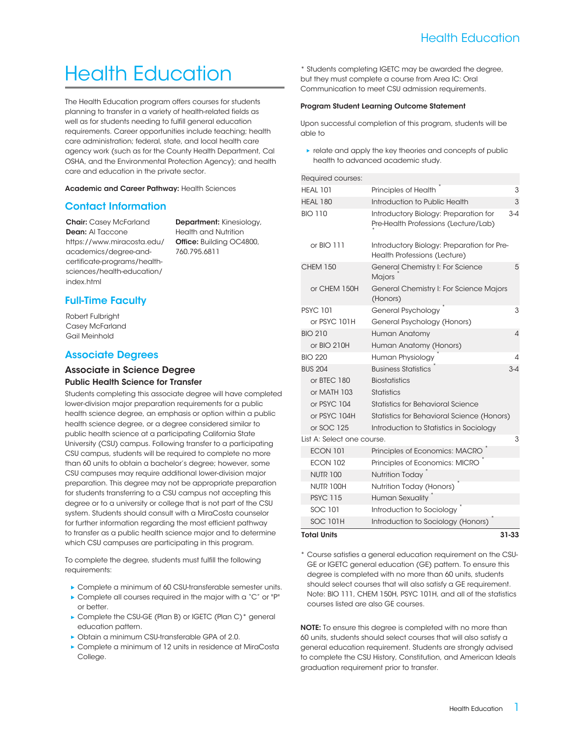# Health Education

The Health Education program offers courses for students planning to transfer in a variety of health-related fields as well as for students needing to fulfill general education requirements. Career opportunities include teaching; health care administration; federal, state, and local health care agency work (such as for the County Health Department, Cal OSHA, and the Environmental Protection Agency); and health care and education in the private sector.

Academic and Career Pathway: [Health Sciences](https://www.miracosta.edu/academics/degree-and-certificate-programs/health-sciences/)

# Contact Information

**Chair:** Casey McFarland Dean: Al Taccone [https://www.miracosta.edu/](https://www.miracosta.edu/academics/degree-and-certificate-programs/health-sciences/health-education/) [academics/degree-and](https://www.miracosta.edu/academics/degree-and-certificate-programs/health-sciences/health-education/)[certificate-programs/health](https://www.miracosta.edu/academics/degree-and-certificate-programs/health-sciences/health-education/)[sciences/health-education/](https://www.miracosta.edu/academics/degree-and-certificate-programs/health-sciences/health-education/) [index.html](https://www.miracosta.edu/academics/degree-and-certificate-programs/health-sciences/health-education/)

Department: Kinesiology, Health and Nutrition Office: Building OC4800, 760.795.6811

# Full-Time Faculty

Robert Fulbright Casey McFarland Gail Meinhold

# Associate Degrees

# Associate in Science Degree Public Health Science for Transfer

Students completing this associate degree will have completed lower-division major preparation requirements for a public health science degree, an emphasis or option within a public health science degree, or a degree considered similar to public health science at a participating California State University (CSU) campus. Following transfer to a participating CSU campus, students will be required to complete no more than 60 units to obtain a bachelor's degree; however, some CSU campuses may require additional lower-division major preparation. This degree may not be appropriate preparation for students transferring to a CSU campus not accepting this degree or to a university or college that is not part of the CSU system. Students should consult with a MiraCosta counselor for further information regarding the most efficient pathway to transfer as a public health science major and to determine which CSU campuses are participating in this program.

To complete the degree, students must fulfill the following requirements:

- ▶ Complete a minimum of 60 CSU-transferable semester units.
- Complete all courses required in the major with a "C" or "P" or better.
- ▶ Complete the CSU-GE [\(Plan B](http://catalog.miracosta.edu/degreecertificatetransferinfo/generaleducationplans/planb/)) or IGETC ([Plan C](http://catalog.miracosta.edu/degreecertificatetransferinfo/generaleducationplans/planc/))\* general education pattern.
- ▶ Obtain a minimum CSU-transferable GPA of 2.0.
- Complete a minimum of 12 units in residence at MiraCosta College.

\* Students completing IGETC may be awarded the degree, but they must complete a course from Area IC: Oral Communication to meet CSU admission requirements.

#### Program Student Learning Outcome Statement

Upon successful completion of this program, students will be able to

**relate and apply the key theories and concepts of public** health to advanced academic study.

### Required courses:

| <b>Total Units</b>         |                                                                               | $31 - 33$ |
|----------------------------|-------------------------------------------------------------------------------|-----------|
| <b>SOC 101H</b>            | Introduction to Sociology (Honors)                                            |           |
| SOC 101                    | Introduction to Sociology                                                     |           |
| <b>PSYC 115</b>            | <b>Human Sexuality</b>                                                        |           |
| <b>NUTR 100H</b>           | Nutrition Today (Honors)                                                      |           |
| <b>NUTR 100</b>            | <b>Nutrition Today</b>                                                        |           |
| <b>ECON 102</b>            | Principles of Economics: MICRO                                                |           |
| <b>ECON 101</b>            | Principles of Economics: MACRO                                                |           |
| List A: Select one course. |                                                                               | 3         |
| or SOC 125                 | Introduction to Statistics in Sociology                                       |           |
| or PSYC 104H               | Statistics for Behavioral Science (Honors)                                    |           |
| or PSYC 104                | <b>Statistics for Behavioral Science</b>                                      |           |
| or MATH 103                | <b>Statistics</b>                                                             |           |
| or BTEC 180                | <b>Biostatistics</b>                                                          |           |
| <b>BUS 204</b>             | <b>Business Statistics</b>                                                    | $3 - 4$   |
| <b>BIO 220</b>             | Human Physiology                                                              | 4         |
| or BIO 210H                | Human Anatomy (Honors)                                                        |           |
| <b>BIO 210</b>             | Human Anatomy                                                                 | $\Delta$  |
| or PSYC 101H               | General Psychology (Honors)                                                   |           |
| <b>PSYC 101</b>            | General Psychology                                                            | 3         |
| or CHEM 150H               | General Chemistry I: For Science Majors<br>(Honors)                           |           |
| <b>CHEM 150</b>            | General Chemistry I: For Science<br>Majors                                    | 5         |
| or BIO 111                 | Introductory Biology: Preparation for Pre-<br>Health Professions (Lecture)    |           |
| <b>BIO 110</b>             | Introductory Biology: Preparation for<br>Pre-Health Professions (Lecture/Lab) | $3 - 4$   |
| <b>HEAL 180</b>            | Introduction to Public Health                                                 | 3         |
| <b>HEAL 101</b>            | Principles of Health                                                          | 3         |
| <b>Required courses:</b>   |                                                                               |           |

\* Course satisfies a general education requirement on the CSU-GE or IGETC general education (GE) pattern. To ensure this degree is completed with no more than 60 units, students should select courses that will also satisfy a GE requirement. Note: BIO 111, CHEM 150H, PSYC 101H, and all of the statistics courses listed are also GE courses.

NOTE: To ensure this degree is completed with no more than 60 units, students should select courses that will also satisfy a general education requirement. Students are strongly advised to complete the CSU History, Constitution, and American Ideals graduation requirement prior to transfer.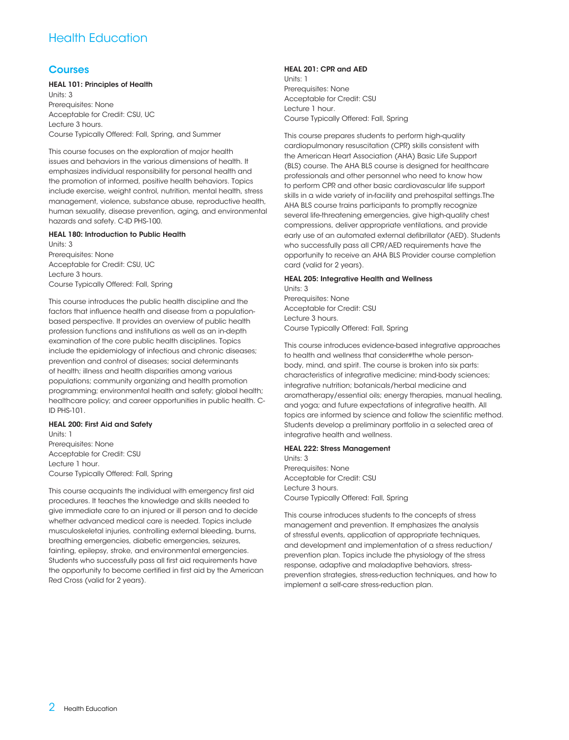# Health Education

# Courses

#### HEAL 101: Principles of Health

Units: 3 Prerequisites: None Acceptable for Credit: CSU, UC Lecture 3 hours. Course Typically Offered: Fall, Spring, and Summer

This course focuses on the exploration of major health issues and behaviors in the various dimensions of health. It emphasizes individual responsibility for personal health and the promotion of informed, positive health behaviors. Topics include exercise, weight control, nutrition, mental health, stress management, violence, substance abuse, reproductive health, human sexuality, disease prevention, aging, and environmental hazards and safety. C-ID PHS-100.

#### HEAL 180: Introduction to Public Health

Units: 3 Prerequisites: None Acceptable for Credit: CSU, UC Lecture 3 hours. Course Typically Offered: Fall, Spring

This course introduces the public health discipline and the factors that influence health and disease from a populationbased perspective. It provides an overview of public health profession functions and institutions as well as an in-depth examination of the core public health disciplines. Topics include the epidemiology of infectious and chronic diseases; prevention and control of diseases; social determinants of health; illness and health disparities among various populations; community organizing and health promotion programming; environmental health and safety; global health; healthcare policy; and career opportunities in public health. C-ID PHS-101.

#### HEAL 200: First Aid and Safety

Units: 1 Prerequisites: None Acceptable for Credit: CSU Lecture 1 hour. Course Typically Offered: Fall, Spring

This course acquaints the individual with emergency first aid procedures. It teaches the knowledge and skills needed to give immediate care to an injured or ill person and to decide whether advanced medical care is needed. Topics include musculoskeletal injuries, controlling external bleeding, burns, breathing emergencies, diabetic emergencies, seizures, fainting, epilepsy, stroke, and environmental emergencies. Students who successfully pass all first aid requirements have the opportunity to become certified in first aid by the American Red Cross (valid for 2 years).

#### HEAL 201: CPR and AED

Units: 1 Prerequisites: None Acceptable for Credit: CSU Lecture 1 hour. Course Typically Offered: Fall, Spring

This course prepares students to perform high-quality cardiopulmonary resuscitation (CPR) skills consistent with the American Heart Association (AHA) Basic Life Support (BLS) course. The AHA BLS course is designed for healthcare professionals and other personnel who need to know how to perform CPR and other basic cardiovascular life support skills in a wide variety of in-facility and prehospital settings.The AHA BLS course trains participants to promptly recognize several life-threatening emergencies, give high-quality chest compressions, deliver appropriate ventilations, and provide early use of an automated external defibrillator (AED). Students who successfully pass all CPR/AED requirements have the opportunity to receive an AHA BLS Provider course completion card (valid for 2 years).

# HEAL 205: Integrative Health and Wellness Units: 3

Prerequisites: None Acceptable for Credit: CSU Lecture 3 hours. Course Typically Offered: Fall, Spring

This course introduces evidence-based integrative approaches to health and wellness that consider#the whole personbody, mind, and spirit. The course is broken into six parts: characteristics of integrative medicine; mind-body sciences; integrative nutrition; botanicals/herbal medicine and aromatherapy/essential oils; energy therapies, manual healing, and yoga; and future expectations of integrative health. All topics are informed by science and follow the scientific method. Students develop a preliminary portfolio in a selected area of integrative health and wellness.

#### HEAL 222: Stress Management

Units: 3 Prerequisites: None Acceptable for Credit: CSU Lecture 3 hours. Course Typically Offered: Fall, Spring

This course introduces students to the concepts of stress management and prevention. It emphasizes the analysis of stressful events, application of appropriate techniques, and development and implementation of a stress reduction/ prevention plan. Topics include the physiology of the stress response, adaptive and maladaptive behaviors, stressprevention strategies, stress-reduction techniques, and how to implement a self-care stress-reduction plan.